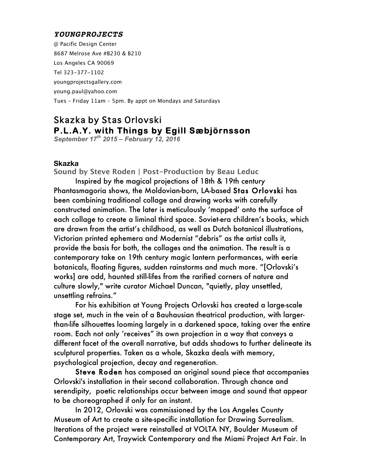### *YOUNGPROJECTS*

@ Pacific Design Center 8687 Melrose Ave #B230 & B210 Los Angeles CA 90069 Tel 323-377-1102 youngprojectsgallery.com young.paul@yahoo.com Tues – Friday 11am – 5pm. By appt on Mondays and Saturdays

# Skazka by Stas Orlovski **P.L.A.Y. with Things by Egill Sæbjörnsson**

*September 17th 2015 – February 12, 2016* 

#### **Skazka**

**Sound by Steve Roden | Post-Production by Beau Leduc**

Inspired by the magical projections of 18th & 19th century Phantasmagoria shows, the Moldovian-born, LA-based Stas Orlovski has been combining traditional collage and drawing works with carefully constructed animation. The later is meticulously 'mapped' onto the surface of each collage to create a liminal third space. Soviet-era children's books, which are drawn from the artist's childhood, as well as Dutch botanical illustrations, Victorian printed ephemera and Modernist "debris" as the artist calls it, provide the basis for both, the collages and the animation. The result is a contemporary take on 19th century magic lantern performances, with eerie botanicals, floating figures, sudden rainstorms and much more. "[Orlovski's works] are odd, haunted still-lifes from the rarified corners of nature and culture slowly," write curator Michael Duncan, "quietly, play unsettled, unsettling refrains."

For his exhibition at Young Projects Orlovski has created a large-scale stage set, much in the vein of a Bauhausian theatrical production, with largerthan-life silhouettes looming largely in a darkened space, taking over the entire room. Each not only 'receives" its own projection in a way that conveys a different facet of the overall narrative, but adds shadows to further delineate its sculptural properties. Taken as a whole, Skazka deals with memory, psychological projection, decay and regeneration.

Steve Roden has composed an original sound piece that accompanies Orlovski's installation in their second collaboration. Through chance and serendipity, poetic relationships occur between image and sound that appear to be choreographed if only for an instant.

In 2012, Orlovski was commissioned by the Los Angeles County Museum of Art to create a site-specific installation for Drawing Surrealism. Iterations of the project were reinstalled at VOLTA NY, Boulder Museum of Contemporary Art, Traywick Contemporary and the Miami Project Art Fair. In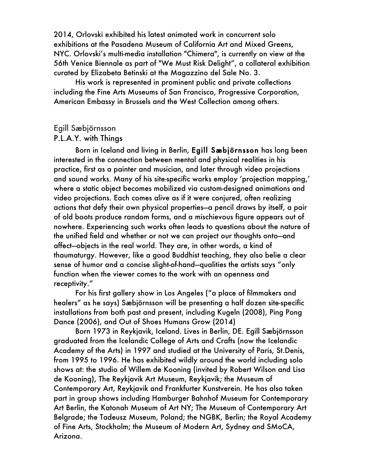2014, Orlovski exhibited his latest animated work in concurrent solo exhibitions at the Pasadena Museum of California Art and Mixed Greens, NYC. Orlovski's multi-media installation "Chimera", is currently on view at the 56th Venice Biennale as part of "We Must Risk Delight", a collateral exhibition curated by Elizabeta Betinski at the Magazzino del Sale No. 3.

His work is represented in prominent public and private collections including the Fine Arts Museums of San Francisco, Progressive Corporation, American Embassy in Brussels and the West Collection among others.

## Egill Sæbjörnsson

## P.L.A.Y. with Things

Born in Iceland and living in Berlin, Egill Sæbjörnsson has long been interested in the connection between mental and physical realities in his practice, first as a painter and musician, and later through video projections and sound works. Many of his site-specific works employ 'projection mapping,' where a static object becomes mobilized via custom-designed animations and video projections. Each comes alive as if it were conjured, often realizing actions that defy their own physical properties—a pencil draws by itself, a pair of old boots produce random forms, and a mischievous figure appears out of nowhere. Experiencing such works often leads to questions about the nature of the unified field and whether or not we can project our thoughts onto—and affect—objects in the real world. They are, in other words, a kind of thaumaturgy. However, like a good Buddhist teaching, they also belie a clear sense of humor and a concise slight-of-hand—qualities the artists says "only function when the viewer comes to the work with an openness and receptivity."

For his first gallery show in Los Angeles ("a place of filmmakers and healers" as he says) Sæbjörnsson will be presenting a half dozen site-specific installations from both past and present, including Kugeln (2008), Ping Pong Dance (2006), and Out of Shoes Humans Grow (2014)

Born 1973 in Reykjavik, Iceland. Lives in Berlin, DE. Egill Sæbjörnsson graduated from the Icelandic College of Arts and Crafts (now the Icelandic Academy of the Arts) in 1997 and studied at the University of Paris, St.Denis, from 1995 to 1996. He has exhibited wildly around the world including solo shows at: the studio of Willem de Kooning (invited by Robert Wilson and Lisa de Kooning), The Reykjavik Art Museum, Reykjavik; the Museum of Contemporary Art, Reykjavik and Frankfurter Kunstverein. He has also taken part in group shows including Hamburger Bahnhof Museum for Contemporary Art Berlin, the Katonah Museum of Art NY; The Museum of Contemporary Art Belgrade; the Tadeusz Museum, Poland; the NGBK, Berlin; the Royal Academy of Fine Arts, Stockholm; the Museum of Modern Art, Sydney and SMoCA, Arizona.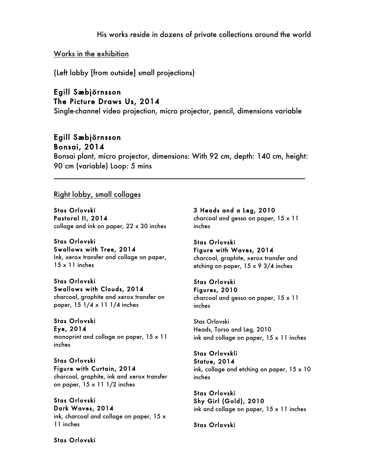His works reside in dozens of private collections around the world

Works in the exhibition

(Left lobby [from outside] small projections)

## Egill Sæbjörnsson The Picture Draws Us, 2014

Single-channel video projection, micro projector, pencil, dimensions variable

## Egill Sæbjörnsson Bonsai, 2014

Bonsai plant, micro projector, dimensions: With 92 cm, depth: 140 cm, height: 90 cm (variable) Loop: 5 mins

\_\_\_\_\_\_\_\_\_\_\_\_\_\_\_\_\_\_\_\_\_\_\_\_\_\_\_\_\_\_\_\_\_\_\_\_\_\_\_\_\_\_\_\_\_\_\_\_\_\_\_\_\_\_\_\_\_\_\_\_\_\_

## Right lobby, small collages

Stas Orlovski Pastoral II, 2014 collage and ink on paper, 22 x 30 inches

Stas Orlovski Swallows with Tree, 2014 Ink, xerox transfer and collage on paper, 15 x 11 inches

## Stas Orlovski Swallows with Clouds, 2014

charcoal, graphite and xerox transfer on paper, 15 1/4 x 11 1/4 inches

# Stas Orlovski

Eye, 2014 monoprint and collage on paper, 15 x 11 inches

## Stas Orlovski Figure with Curtain, 2014

charcoal, graphite, ink and xerox transfer on paper, 15 x 11 1/2 inches

Stas Orlovski Dark Waves, 2014 ink, charcoal and collage on paper, 15 x 11 inches

3 Heads and a Leg, 2010 charcoal and gesso on paper, 15 x 11 inches

#### Stas Orlovski Figure with Waves, 2014 charcoal, graphite, xerox transfer and etching on paper, 15 x 9 3/4 inches

#### Stas Orlovski Figures, 2010

charcoal and gesso on paper, 15 x 11 inches

Stas Orlovski Heads, Torso and Leg, 2010 ink and collage on paper, 15 x 11 inches

### Stas Orlovskli Statue, 2014 ink, collage and etching on paper, 15 x 10 inches

Stas Orlovski Shy Girl (Gold), 2010 ink and collage on paper, 15 x 11 inches

Stas Orlovski

Stas Orlovski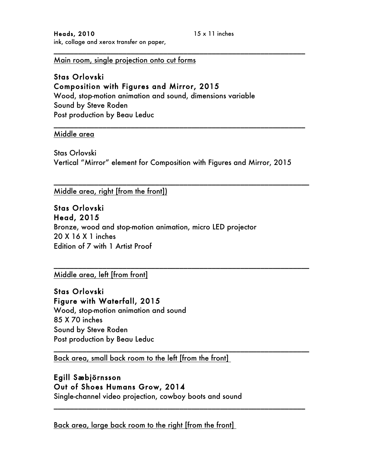Main room, single projection onto cut forms

## Stas Orlovski Composition with Figures and Mirror, 2015 Wood, stop-motion animation and sound, dimensions variable Sound by Steve Roden Post production by Beau Leduc

### Middle area

Stas Orlovski Vertical "Mirror" element for Composition with Figures and Mirror, 2015

\_\_\_\_\_\_\_\_\_\_\_\_\_\_\_\_\_\_\_\_\_\_\_\_\_\_\_\_\_\_\_\_\_\_\_\_\_\_\_\_\_\_\_\_\_\_\_\_\_\_\_\_\_\_\_\_\_\_\_\_\_\_\_

\_\_\_\_\_\_\_\_\_\_\_\_\_\_\_\_\_\_\_\_\_\_\_\_\_\_\_\_\_\_\_\_\_\_\_\_\_\_\_\_\_\_\_\_\_\_\_\_\_\_\_\_\_\_\_\_\_\_\_\_\_\_\_

\_\_\_\_\_\_\_\_\_\_\_\_\_\_\_\_\_\_\_\_\_\_\_\_\_\_\_\_\_\_\_\_\_\_\_\_\_\_\_\_\_\_\_\_\_\_\_\_\_\_\_\_\_\_\_\_\_\_\_\_\_\_\_

\_\_\_\_\_\_\_\_\_\_\_\_\_\_\_\_\_\_\_\_\_\_\_\_\_\_\_\_\_\_\_\_\_\_\_\_\_\_\_\_\_\_\_\_\_\_\_\_\_\_\_\_\_\_\_\_\_\_\_\_\_\_

\_\_\_\_\_\_\_\_\_\_\_\_\_\_\_\_\_\_\_\_\_\_\_\_\_\_\_\_\_\_\_\_\_\_\_\_\_\_\_\_\_\_\_\_\_\_\_\_\_\_\_\_\_\_\_\_\_\_\_\_\_\_

\_\_\_\_\_\_\_\_\_\_\_\_\_\_\_\_\_\_\_\_\_\_\_\_\_\_\_\_\_\_\_\_\_\_\_\_\_\_\_\_\_\_\_\_\_\_\_\_\_\_\_\_\_\_\_\_\_\_\_\_\_\_

Middle area, right [from the front])

## Stas Orlovski Head, 2015

Bronze, wood and stop-motion animation, micro LED projector 20 X 16 X 1 inches Edition of 7 with 1 Artist Proof

Middle area, left [from front]

Stas Orlovski Figure with Waterfall, 2015 Wood, stop-motion animation and sound

85 X 70 inches Sound by Steve Roden Post production by Beau Leduc

Back area, small back room to the left [from the front]

## Egill Sæbjörnsson Out of Shoes Humans Grow, 2014

Single-channel video projection, cowboy boots and sound

Back area, large back room to the right [from the front]